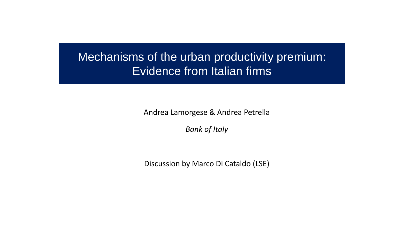## Mechanisms of the urban productivity premium: Evidence from Italian firms

Andrea Lamorgese & Andrea Petrella

*Bank of Italy*

Discussion by Marco Di Cataldo (LSE)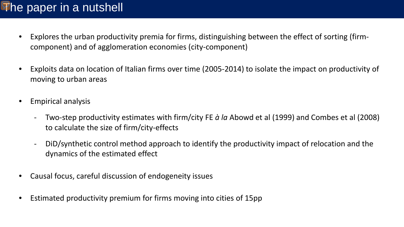## The paper in a nutshell

- Explores the urban productivity premia for firms, distinguishing between the effect of sorting (firmcomponent) and of agglomeration economies (city-component)
- Exploits data on location of Italian firms over time (2005-2014) to isolate the impact on productivity of moving to urban areas
- Empirical analysis
	- Two-step productivity estimates with firm/city FE *à la* Abowd et al (1999) and Combes et al (2008) to calculate the size of firm/city-effects
	- DiD/synthetic control method approach to identify the productivity impact of relocation and the dynamics of the estimated effect
- Causal focus, careful discussion of endogeneity issues
- Estimated productivity premium for firms moving into cities of 15pp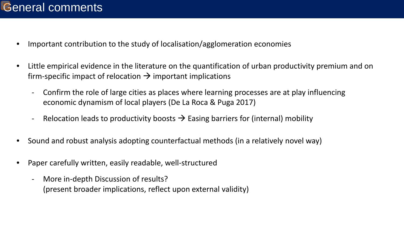- Important contribution to the study of localisation/agglomeration economies
- Little empirical evidence in the literature on the quantification of urban productivity premium and on firm-specific impact of relocation  $\rightarrow$  important implications
	- Confirm the role of large cities as places where learning processes are at play influencing economic dynamism of local players (De La Roca & Puga 2017)
	- Relocation leads to productivity boosts  $\rightarrow$  Easing barriers for (internal) mobility
- Sound and robust analysis adopting counterfactual methods (in a relatively novel way)
- Paper carefully written, easily readable, well-structured
	- More in-depth Discussion of results? (present broader implications, reflect upon external validity)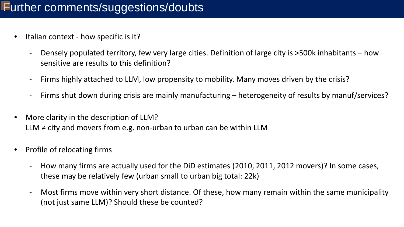## Further comments/suggestions/doubts

- Italian context how specific is it?
	- Densely populated territory, few very large cities. Definition of large city is >500k inhabitants how sensitive are results to this definition?
	- Firms highly attached to LLM, low propensity to mobility. Many moves driven by the crisis?
	- Firms shut down during crisis are mainly manufacturing heterogeneity of results by manuf/services?
- More clarity in the description of LLM? LLM  $\neq$  city and movers from e.g. non-urban to urban can be within LLM
- Profile of relocating firms
	- How many firms are actually used for the DiD estimates (2010, 2011, 2012 movers)? In some cases, these may be relatively few (urban small to urban big total: 22k)
	- Most firms move within very short distance. Of these, how many remain within the same municipality (not just same LLM)? Should these be counted?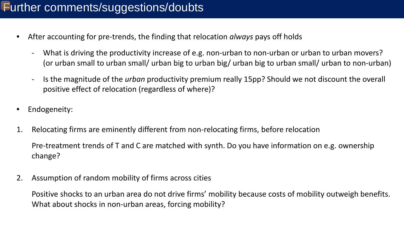- After accounting for pre-trends, the finding that relocation *always* pays off holds
	- What is driving the productivity increase of e.g. non-urban to non-urban or urban to urban movers? (or urban small to urban small/ urban big to urban big/ urban big to urban small/ urban to non-urban)
	- Is the magnitude of the *urban* productivity premium really 15pp? Should we not discount the overall positive effect of relocation (regardless of where)?
- Endogeneity:
- 1. Relocating firms are eminently different from non-relocating firms, before relocation Pre-treatment trends of T and C are matched with synth. Do you have information on e.g. ownership change?
- 2. Assumption of random mobility of firms across cities

Positive shocks to an urban area do not drive firms' mobility because costs of mobility outweigh benefits. What about shocks in non-urban areas, forcing mobility?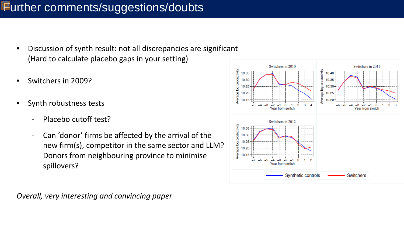## Further comments/suggestions/doubts

- Discussion of synth result: not all discrepancies are significant (Hard to calculate placebo gaps in your setting)
- Switchers in 2009?
- Synth robustness tests
	- Placebo cutoff test?
	- Can 'donor' firms be affected by the arrival of the new firm(s), competitor in the same sector and LLM? Donors from neighbouring province to minimise spillovers?



*Overall, very interesting and convincing paper*